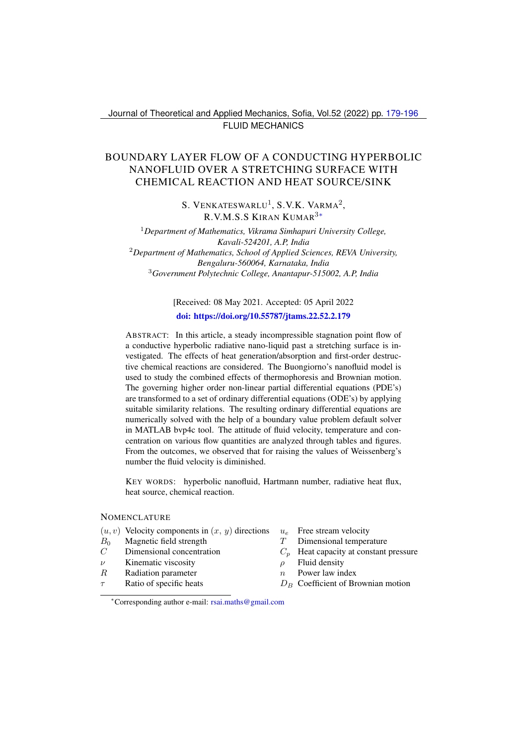## Journal of Theoretical and Applied Mechanics, Sofia, Vol.52 (2022) pp. [179-](#page-0-0)[196](#page-15-0) FLUID MECHANICS

# <span id="page-0-0"></span>BOUNDARY LAYER FLOW OF A CONDUCTING HYPERBOLIC NANOFLUID OVER A STRETCHING SURFACE WITH CHEMICAL REACTION AND HEAT SOURCE/SINK

S. VENKATESWARLU<sup>1</sup>, S.V.K. VARMA<sup>2</sup>, R.V.M.S.S KIRAN KUMAR3[∗](#page-0-1)

<sup>1</sup>*Department of Mathematics, Vikrama Simhapuri University College, Kavali-524201, A.P, India* <sup>2</sup>*Department of Mathematics, School of Applied Sciences, REVA University, Bengaluru-560064, Karnataka, India* <sup>3</sup>*Government Polytechnic College, Anantapur-515002, A.P, India*

> [Received: 08 May 2021. Accepted: 05 April 2022 [doi: https://doi.org/10.55787/jtams.22.52.2.179](https://doi.org/10.55787/jtams.22.52.2.179)

ABSTRACT: In this article, a steady incompressible stagnation point flow of a conductive hyperbolic radiative nano-liquid past a stretching surface is investigated. The effects of heat generation/absorption and first-order destructive chemical reactions are considered. The Buongiorno's nanofluid model is used to study the combined effects of thermophoresis and Brownian motion. The governing higher order non-linear partial differential equations (PDE's) are transformed to a set of ordinary differential equations (ODE's) by applying suitable similarity relations. The resulting ordinary differential equations are numerically solved with the help of a boundary value problem default solver in MATLAB bvp4c tool. The attitude of fluid velocity, temperature and concentration on various flow quantities are analyzed through tables and figures. From the outcomes, we observed that for raising the values of Weissenberg's number the fluid velocity is diminished.

KEY WORDS: hyperbolic nanofluid, Hartmann number, radiative heat flux, heat source, chemical reaction.

#### **NOMENCLATURE**

- $(u, v)$  Velocity components in  $(x, y)$  directions  $u_e$  Free stream velocity<br>  $B_0$  Magnetic field strength  $T$  Dimensional temper
- $B_0$  Magnetic field strength  $T$  Dimensional temperature
- 
- $ν$  Kinematic viscosity  $ρ$  Fluid density
- $R$  Radiation parameter  $n$  Power law index
- 
- 
- 
- $C$  Dimensional concentration  $C_p$  Heat capacity at constant pressure
	-
	-
	- Ratio of specific heats  $D_B$  Coefficient of Brownian motion

<span id="page-0-1"></span><sup>∗</sup>Corresponding author e-mail: [rsai.maths@gmail.com](mailto:rsai.maths@gmail.com)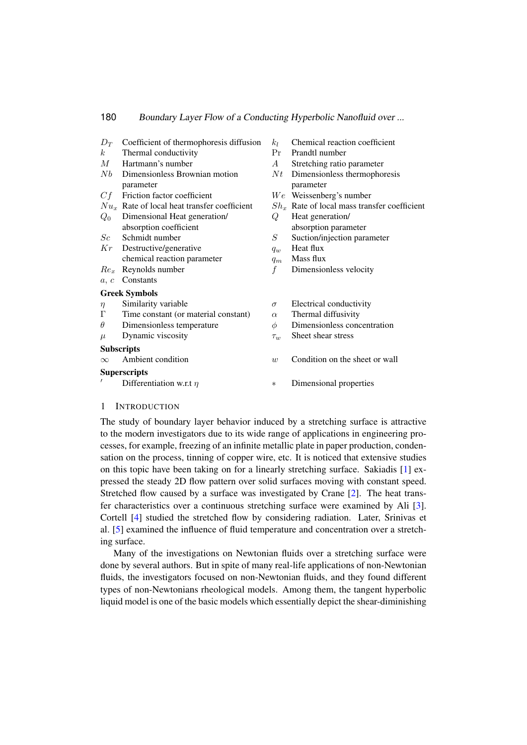| $D_T$            | Coefficient of thermophoresis diffusion        | $k_I$     | Chemical reaction coefficient                  |
|------------------|------------------------------------------------|-----------|------------------------------------------------|
| $\boldsymbol{k}$ | Thermal conductivity                           | Pr        | Prandtl number                                 |
| М                | Hartmann's number                              | A         | Stretching ratio parameter                     |
| Nb               | Dimensionless Brownian motion                  | N t       | Dimensionless thermophoresis                   |
|                  | parameter                                      |           | parameter                                      |
| Cf               | Friction factor coefficient                    |           | $We$ Weissenberg's number                      |
|                  | $Nu_x$ Rate of local heat transfer coefficient |           | $Sh_x$ Rate of local mass transfer coefficient |
| $Q_0$            | Dimensional Heat generation/                   | Q         | Heat generation/                               |
|                  | absorption coefficient                         |           | absorption parameter                           |
| Sc               | Schmidt number                                 | $\, S \,$ | Suction/injection parameter                    |
| Κr               | Destructive/generative                         | $q_w$     | Heat flux                                      |
|                  | chemical reaction parameter                    | $q_m$     | Mass flux                                      |
| Re <sub>r</sub>  | Reynolds number                                | f         | Dimensionless velocity                         |
| a, c             | Constants                                      |           |                                                |
|                  | <b>Greek Symbols</b>                           |           |                                                |
| $\eta$           | Similarity variable                            | $\sigma$  | Electrical conductivity                        |
| Г                | Time constant (or material constant)           | $\alpha$  | Thermal diffusivity                            |
| $\theta$         | Dimensionless temperature                      | $\phi$    | Dimensionless concentration                    |
| $\mu$            | Dynamic viscosity                              | $\tau_w$  | Sheet shear stress                             |
|                  | <b>Subscripts</b>                              |           |                                                |
| $\infty$         | Ambient condition                              | w         | Condition on the sheet or wall                 |
|                  | <b>Superscripts</b>                            |           |                                                |
|                  | Differentiation w.r.t $\eta$                   | $\ast$    | Dimensional properties                         |
|                  |                                                |           |                                                |

### 1 INTRODUCTION

The study of boundary layer behavior induced by a stretching surface is attractive to the modern investigators due to its wide range of applications in engineering processes, for example, freezing of an infinite metallic plate in paper production, condensation on the process, tinning of copper wire, etc. It is noticed that extensive studies on this topic have been taking on for a linearly stretching surface. Sakiadis [\[1\]](#page-15-1) expressed the steady 2D flow pattern over solid surfaces moving with constant speed. Stretched flow caused by a surface was investigated by Crane [\[2\]](#page-15-2). The heat transfer characteristics over a continuous stretching surface were examined by Ali [\[3\]](#page-15-3). Cortell [\[4\]](#page-15-4) studied the stretched flow by considering radiation. Later, Srinivas et al. [\[5\]](#page-15-5) examined the influence of fluid temperature and concentration over a stretching surface.

Many of the investigations on Newtonian fluids over a stretching surface were done by several authors. But in spite of many real-life applications of non-Newtonian fluids, the investigators focused on non-Newtonian fluids, and they found different types of non-Newtonians rheological models. Among them, the tangent hyperbolic liquid model is one of the basic models which essentially depict the shear-diminishing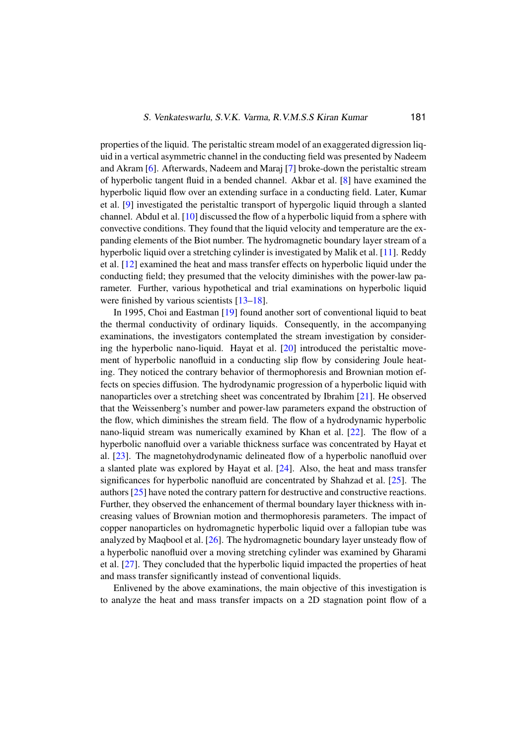properties of the liquid. The peristaltic stream model of an exaggerated digression liquid in a vertical asymmetric channel in the conducting field was presented by Nadeem and Akram [\[6\]](#page-15-6). Afterwards, Nadeem and Maraj [\[7\]](#page-15-7) broke-down the peristaltic stream of hyperbolic tangent fluid in a bended channel. Akbar et al. [\[8\]](#page-15-8) have examined the hyperbolic liquid flow over an extending surface in a conducting field. Later, Kumar et al. [\[9\]](#page-15-9) investigated the peristaltic transport of hypergolic liquid through a slanted channel. Abdul et al. [\[10\]](#page-15-10) discussed the flow of a hyperbolic liquid from a sphere with convective conditions. They found that the liquid velocity and temperature are the expanding elements of the Biot number. The hydromagnetic boundary layer stream of a hyperbolic liquid over a stretching cylinder is investigated by Malik et al. [\[11\]](#page-15-11). Reddy et al. [\[12\]](#page-15-12) examined the heat and mass transfer effects on hyperbolic liquid under the conducting field; they presumed that the velocity diminishes with the power-law parameter. Further, various hypothetical and trial examinations on hyperbolic liquid were finished by various scientists [\[13–](#page-16-0)[18\]](#page-16-1).

In 1995, Choi and Eastman [\[19\]](#page-16-2) found another sort of conventional liquid to beat the thermal conductivity of ordinary liquids. Consequently, in the accompanying examinations, the investigators contemplated the stream investigation by considering the hyperbolic nano-liquid. Hayat et al. [\[20\]](#page-16-3) introduced the peristaltic movement of hyperbolic nanofluid in a conducting slip flow by considering Joule heating. They noticed the contrary behavior of thermophoresis and Brownian motion effects on species diffusion. The hydrodynamic progression of a hyperbolic liquid with nanoparticles over a stretching sheet was concentrated by Ibrahim [\[21\]](#page-16-4). He observed that the Weissenberg's number and power-law parameters expand the obstruction of the flow, which diminishes the stream field. The flow of a hydrodynamic hyperbolic nano-liquid stream was numerically examined by Khan et al. [\[22\]](#page-16-5). The flow of a hyperbolic nanofluid over a variable thickness surface was concentrated by Hayat et al. [\[23\]](#page-16-6). The magnetohydrodynamic delineated flow of a hyperbolic nanofluid over a slanted plate was explored by Hayat et al. [\[24\]](#page-16-7). Also, the heat and mass transfer significances for hyperbolic nanofluid are concentrated by Shahzad et al. [\[25\]](#page-16-8). The authors [\[25\]](#page-16-8) have noted the contrary pattern for destructive and constructive reactions. Further, they observed the enhancement of thermal boundary layer thickness with increasing values of Brownian motion and thermophoresis parameters. The impact of copper nanoparticles on hydromagnetic hyperbolic liquid over a fallopian tube was analyzed by Maqbool et al. [\[26\]](#page-16-9). The hydromagnetic boundary layer unsteady flow of a hyperbolic nanofluid over a moving stretching cylinder was examined by Gharami et al. [\[27\]](#page-17-0). They concluded that the hyperbolic liquid impacted the properties of heat and mass transfer significantly instead of conventional liquids.

Enlivened by the above examinations, the main objective of this investigation is to analyze the heat and mass transfer impacts on a 2D stagnation point flow of a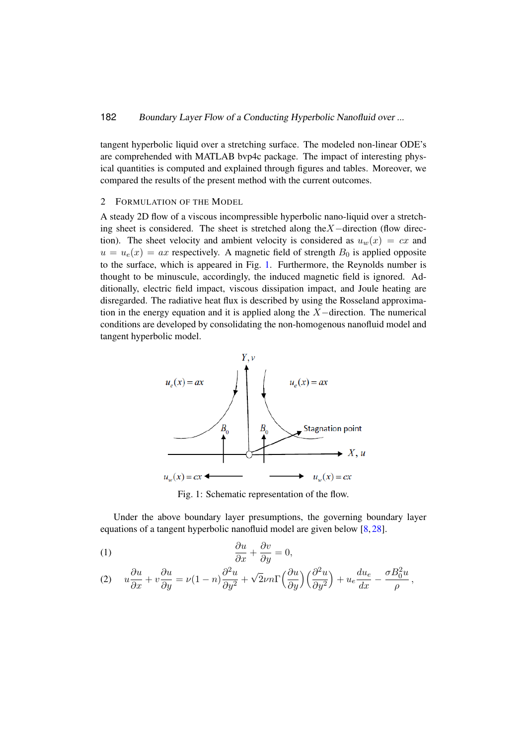tangent hyperbolic liquid over a stretching surface. The modeled non-linear ODE's are comprehended with MATLAB bvp4c package. The impact of interesting physical quantities is computed and explained through figures and tables. Moreover, we compared the results of the present method with the current outcomes.

## 2 FORMULATION OF THE MODEL *Applied Sciences*, **2**, 1-16. Doi. https://doi.org/10.1007/s42452-020-3048-x.

A steady 2D flow of a viscous incompressible hyperbolic nano-liquid over a stretching sheet is considered. The sheet is stretched along the  $X$  –direction (flow direction). The sheet velocity and ambient velocity is considered as  $u_w(x) = cx$  and  $u = u_e(x) = ax$  respectively. A magnetic field of strength  $B_0$  is applied opposite  $u = u_e(x) = dx$  is appeared in Fig. [1.](#page-3-0) Furthermore, the Reynolds number is<br>to the surface, which is appeared in Fig. 1. Furthermore, the Reynolds number is thought to be minuscule, accordingly, the induced magnetic field is ignored. Additionally, electric field impact, viscous dissipation impact, and Joule heating are disregarded. The radiative heat flux is described by using the Rosseland approximation in the energy equation and it is applied along the  $X$ -direction. The numerical conditions are developed by consolidating the non-homogenous nanofluid model and tangent hyperbolic model. to the surface, which is appeared in Fig. 1. Furthermore, the Reynolds humoel is  $\overline{21}$ 

<span id="page-3-0"></span>

Fig. 1: Schematic representation of the flow.

Under the above boundary layer presumptions, the governing boundary layer equations of a tangent hyperbolic nanofluid model are given below [\[8,](#page-15-8) [28\]](#page-17-1).

(1) 
$$
\frac{\partial u}{\partial x} + \frac{\partial v}{\partial y} = 0,
$$

<span id="page-3-1"></span>(2) 
$$
u\frac{\partial u}{\partial x} + v\frac{\partial u}{\partial y} = \nu(1-n)\frac{\partial^2 u}{\partial y^2} + \sqrt{2}\nu n \Gamma\left(\frac{\partial u}{\partial y}\right)\left(\frac{\partial^2 u}{\partial y^2}\right) + u_e \frac{du_e}{dx} - \frac{\sigma B_0^2 u}{\rho},
$$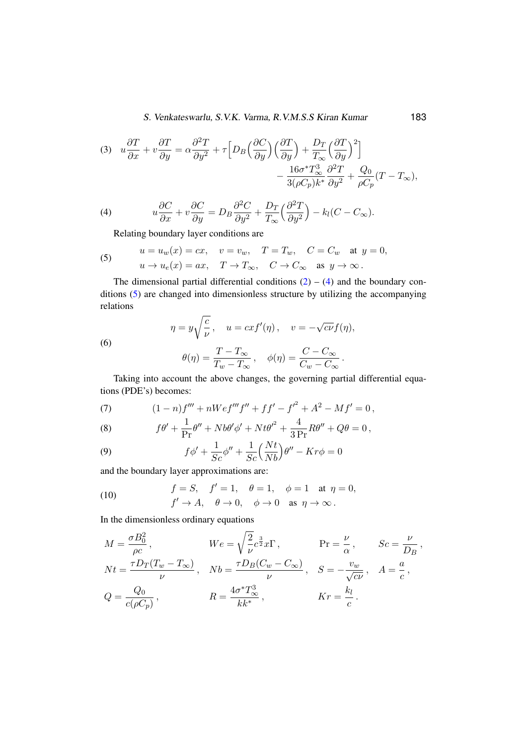S. Venkateswarlu, S.V.K. Varma, R.V.M.S.S Kiran Kumar 183

(3) 
$$
u\frac{\partial T}{\partial x} + v\frac{\partial T}{\partial y} = \alpha \frac{\partial^2 T}{\partial y^2} + \tau \Big[ D_B \Big( \frac{\partial C}{\partial y} \Big) \Big( \frac{\partial T}{\partial y} \Big) + \frac{D_T}{T_{\infty}} \Big( \frac{\partial T}{\partial y} \Big)^2 \Big] - \frac{16\sigma^* T_{\infty}^3}{3(\rho C_p)k^*} \frac{\partial^2 T}{\partial y^2} + \frac{Q_0}{\rho C_p} (T - T_{\infty}),
$$

<span id="page-4-0"></span>(4) 
$$
u\frac{\partial C}{\partial x} + v\frac{\partial C}{\partial y} = D_B \frac{\partial^2 C}{\partial y^2} + \frac{D_T}{T_{\infty}} \left(\frac{\partial^2 T}{\partial y^2}\right) - k_l(C - C_{\infty}).
$$

Relating boundary layer conditions are

<span id="page-4-1"></span>(5) 
$$
u = u_w(x) = cx, \quad v = v_w, \quad T = T_w, \quad C = C_w \quad \text{at } y = 0,
$$

$$
u \to u_e(x) = ax, \quad T \to T_\infty, \quad C \to C_\infty \quad \text{as } y \to \infty.
$$

The dimensional partial differential conditions  $(2) - (4)$  $(2) - (4)$  $(2) - (4)$  and the boundary conditions [\(5\)](#page-4-1) are changed into dimensionless structure by utilizing the accompanying relations

$$
\eta = y \sqrt{\frac{c}{\nu}}, \quad u = cx f'(\eta), \quad v = -\sqrt{cv} f(\eta),
$$

$$
\theta(\eta) = \frac{T - T_{\infty}}{T_w - T_{\infty}}, \quad \phi(\eta) = \frac{C - C_{\infty}}{C_w - C_{\infty}}.
$$

Taking into account the above changes, the governing partial differential equations (PDE's) becomes:

<span id="page-4-2"></span>(7) 
$$
(1-n)f''' + nWef'''f'' + ff' - f'^2 + A^2 - Mf' = 0,
$$

(8) 
$$
f\theta' + \frac{1}{\Pr}\theta'' + N b\theta' \phi' + N t \theta'^2 + \frac{4}{3\Pr}R\theta'' + Q\theta = 0,
$$

<span id="page-4-3"></span>(9) 
$$
f\phi' + \frac{1}{Sc}\phi'' + \frac{1}{Sc}\left(\frac{Nt}{Nb}\right)\theta'' - Kr\phi = 0
$$

and the boundary layer approximations are:

(6)

<span id="page-4-4"></span>(10) 
$$
f = S, \quad f' = 1, \quad \theta = 1, \quad \phi = 1 \quad \text{at } \eta = 0,
$$

$$
f' \to A, \quad \theta \to 0, \quad \phi \to 0 \quad \text{as } \eta \to \infty.
$$

In the dimensionless ordinary equations

$$
M = \frac{\sigma B_0^2}{\rho c}, \qquad \qquad We = \sqrt{\frac{2}{\nu}} c^{\frac{3}{2}} x \Gamma, \qquad \qquad \Pr = \frac{\nu}{\alpha}, \qquad Sc = \frac{\nu}{D_B},
$$
  
\n
$$
Nt = \frac{\tau D_T (T_w - T_\infty)}{\nu}, \quad Nb = \frac{\tau D_B (C_w - C_\infty)}{\nu}, \quad S = -\frac{v_w}{\sqrt{cv}}, \quad A = \frac{a}{c},
$$
  
\n
$$
Q = \frac{Q_0}{c(\rho C_p)}, \qquad \qquad R = \frac{4\sigma^* T_\infty^3}{kk^*}, \qquad \qquad Kr = \frac{k_l}{c}.
$$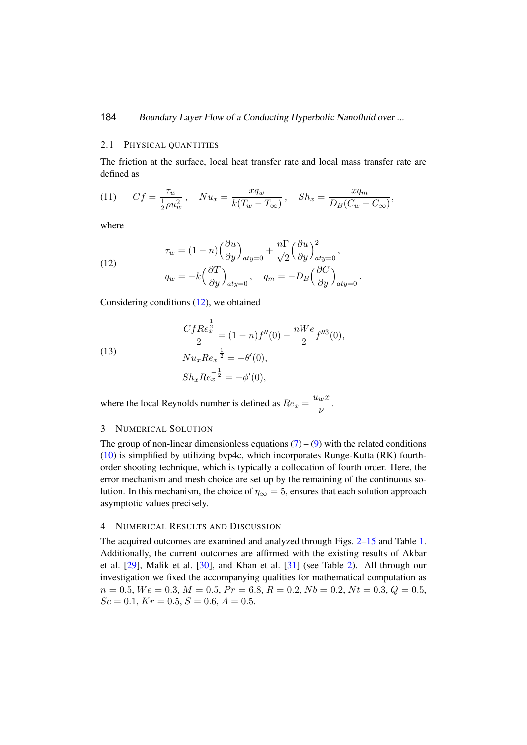#### 2.1 PHYSICAL QUANTITIES

The friction at the surface, local heat transfer rate and local mass transfer rate are defined as

.

(11) 
$$
Cf = \frac{\tau_w}{\frac{1}{2}\rho u_w^2}, \quad Nu_x = \frac{xq_w}{k(T_w - T_\infty)}, \quad Sh_x = \frac{xq_m}{D_B(C_w - C_\infty)},
$$

where

<span id="page-5-0"></span>(12)  

$$
\tau_w = (1 - n) \left(\frac{\partial u}{\partial y}\right)_{aty=0} + \frac{n \Gamma}{\sqrt{2}} \left(\frac{\partial u}{\partial y}\right)_{aty=0}^2,
$$

$$
q_w = -k \left(\frac{\partial T}{\partial y}\right)_{aty=0}, \quad q_m = -D_B \left(\frac{\partial C}{\partial y}\right)_{aty=0}
$$

Considering conditions [\(12\)](#page-5-0), we obtained

$$
\frac{CfRe_{x}^{\frac{1}{2}}}{2} = (1-n)f''(0) - \frac{nWe}{2}f''^{3}(0),
$$
  
\n
$$
Nu_{x}Re_{x}^{-\frac{1}{2}} = -\theta'(0),
$$
  
\n
$$
Sh_{x}Re_{x}^{-\frac{1}{2}} = -\phi'(0),
$$

(13)

where the local Reynolds number is defined as  $Re_x = \frac{u_w x}{u_w}$  $\frac{w}{\nu}$ .

#### 3 NUMERICAL SOLUTION

The group of non-linear dimensionless equations  $(7) - (9)$  $(7) - (9)$  $(7) - (9)$  with the related conditions [\(10\)](#page-4-4) is simplified by utilizing bvp4c, which incorporates Runge-Kutta (RK) fourthorder shooting technique, which is typically a collocation of fourth order. Here, the error mechanism and mesh choice are set up by the remaining of the continuous solution. In this mechanism, the choice of  $\eta_{\infty} = 5$ , ensures that each solution approach asymptotic values precisely.

### 4 NUMERICAL RESULTS AND DISCUSSION

The acquired outcomes are examined and analyzed through Figs. [2](#page-7-0)[–15](#page-14-0) and Table [1.](#page-6-0) Additionally, the current outcomes are affirmed with the existing results of Akbar et al. [\[29\]](#page-17-2), Malik et al. [\[30\]](#page-17-3), and Khan et al. [\[31\]](#page-17-4) (see Table [2\)](#page-6-1). All through our investigation we fixed the accompanying qualities for mathematical computation as  $n = 0.5, We = 0.3, M = 0.5, Pr = 6.8, R = 0.2, Nb = 0.2, Nt = 0.3, Q = 0.5,$  $Sc = 0.1, Kr = 0.5, S = 0.6, A = 0.5.$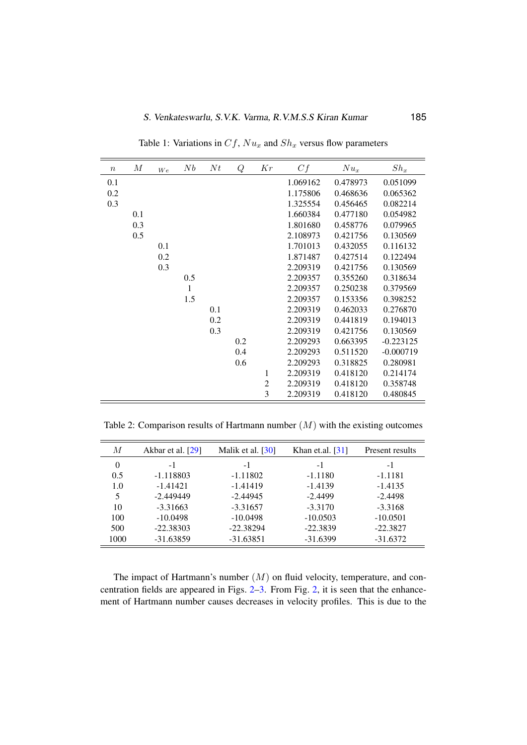<span id="page-6-0"></span>

| $\boldsymbol{n}$ | $\cal M$ | We  | Nb  | Nt  | Q   | Kr             | Cf       | $Nu_x$   | $Sh_x$      |
|------------------|----------|-----|-----|-----|-----|----------------|----------|----------|-------------|
| 0.1              |          |     |     |     |     |                | 1.069162 | 0.478973 | 0.051099    |
| 0.2              |          |     |     |     |     |                | 1.175806 | 0.468636 | 0.065362    |
| 0.3              |          |     |     |     |     |                | 1.325554 | 0.456465 | 0.082214    |
|                  | 0.1      |     |     |     |     |                | 1.660384 | 0.477180 | 0.054982    |
|                  | 0.3      |     |     |     |     |                | 1.801680 | 0.458776 | 0.079965    |
|                  | 0.5      |     |     |     |     |                | 2.108973 | 0.421756 | 0.130569    |
|                  |          | 0.1 |     |     |     |                | 1.701013 | 0.432055 | 0.116132    |
|                  |          | 0.2 |     |     |     |                | 1.871487 | 0.427514 | 0.122494    |
|                  |          | 0.3 |     |     |     |                | 2.209319 | 0.421756 | 0.130569    |
|                  |          |     | 0.5 |     |     |                | 2.209357 | 0.355260 | 0.318634    |
|                  |          |     | 1   |     |     |                | 2.209357 | 0.250238 | 0.379569    |
|                  |          |     | 1.5 |     |     |                | 2.209357 | 0.153356 | 0.398252    |
|                  |          |     |     | 0.1 |     |                | 2.209319 | 0.462033 | 0.276870    |
|                  |          |     |     | 0.2 |     |                | 2.209319 | 0.441819 | 0.194013    |
|                  |          |     |     | 0.3 |     |                | 2.209319 | 0.421756 | 0.130569    |
|                  |          |     |     |     | 0.2 |                | 2.209293 | 0.663395 | $-0.223125$ |
|                  |          |     |     |     | 0.4 |                | 2.209293 | 0.511520 | $-0.000719$ |
|                  |          |     |     |     | 0.6 |                | 2.209293 | 0.318825 | 0.280981    |
|                  |          |     |     |     |     | 1              | 2.209319 | 0.418120 | 0.214174    |
|                  |          |     |     |     |     | $\overline{2}$ | 2.209319 | 0.418120 | 0.358748    |
|                  |          |     |     |     |     | 3              | 2.209319 | 0.418120 | 0.480845    |

Table 1: Variations in  $Cf$ ,  $Nu_x$  and  $Sh_x$  versus flow parameters

<span id="page-6-1"></span>Table 2: Comparison results of Hartmann number  $(M)$  with the existing outcomes

| М    | Akbar et al. [29] | Malik et al. [30] | Khan et.al. $[31]$ | Present results |
|------|-------------------|-------------------|--------------------|-----------------|
| 0    | $-1$              | $-1$              | $-1$               | -1              |
| 0.5  | $-1.118803$       | $-1.11802$        | $-1.1180$          | $-1.1181$       |
| 1.0  | $-1.41421$        | $-1.41419$        | $-1.4139$          | $-1.4135$       |
| 5    | $-2.449449$       | $-2.44945$        | $-2.4499$          | $-2.4498$       |
| 10   | $-3.31663$        | $-3.31657$        | $-3.3170$          | $-3.3168$       |
| 100  | $-10.0498$        | $-10.0498$        | $-10.0503$         | $-10.0501$      |
| 500  | $-22.38303$       | $-22.38294$       | $-22.3839$         | $-22.3827$      |
| 1000 | $-31.63859$       | $-31.63851$       | $-31.6399$         | $-31.6372$      |

The impact of Hartmann's number  $(M)$  on fluid velocity, temperature, and concentration fields are appeared in Figs. [2–](#page-7-0)[3.](#page-7-1) From Fig. [2,](#page-7-0) it is seen that the enhancement of Hartmann number causes decreases in velocity profiles. This is due to the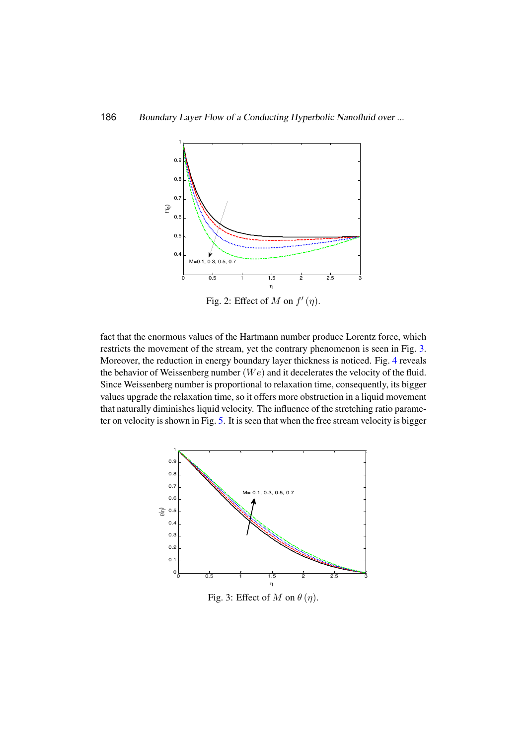<span id="page-7-0"></span>

Fig. 2: Effect of M on  $f'(\eta)$ .

ter on velocity is shown in Fig. [5.](#page-8-1) It is seen that when the free stream velocity is bigger that naturally diminishes liquid velocity. The influence of the stretching ratio parame-Since Weissenberg number is proportional to relaxation time, consequently, its bigger the behavior of Weissenberg number  $(We)$  and it decelerates the velocity of the fluid. Moreover, the reduction in energy boundary layer thickness is noticed. Fig. [4](#page-8-0) reveals restricts the movement of the stream, yet the contrary phenomenon is seen in Fig.  $3$ . fact that the enormous values of the Hartmann number produce Lorentz force, which values upgrade the relaxation time, so it offers more obstruction in a liquid movement

<span id="page-7-1"></span>

Fig. 3: Effect of M on  $\theta(\eta)$ .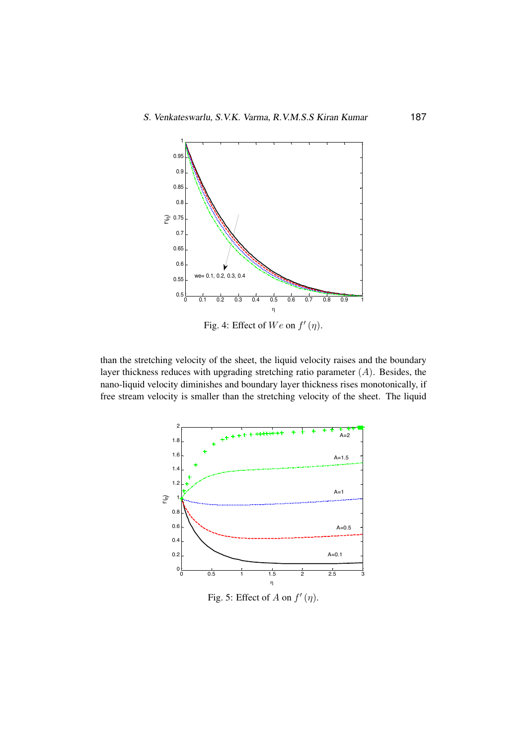<span id="page-8-0"></span>

Fig. 4: Effect of  $We$  on  $f'(\eta)$ .

free stream velocity is smaller than the stretching velocity of the sheet. The liquid layer thickness reduces with upgrading stretching ratio parameter  $(A)$ . Besides, the than the stretching velocity of the sheet, the liquid velocity raises and the boundary nano-liquid velocity diminishes and boundary layer thickness rises monotonically, if *M f* ¢(h)

<span id="page-8-1"></span>

Fig. 5: Effect of  $A$  on  $f'(\eta)$ .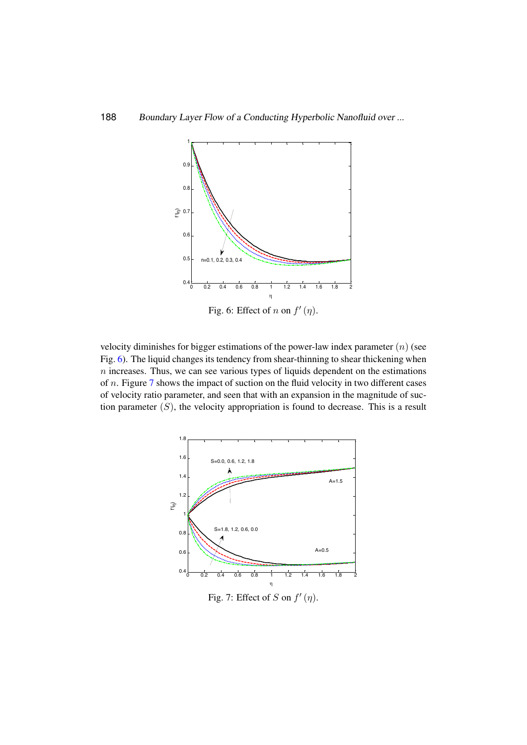<span id="page-9-0"></span>

Fig. 6: Effect of n on  $f'(\eta)$ .

velocity diminishes for bigger estimations of the power-law index parameter  $(n)$  (see Fig. [6\)](#page-9-0). The liquid changes its tendency from shear-thinning to shear thickening when  $n$  increases. Thus, we can see various types of liquids dependent on the estimations of n. Figure [7](#page-9-1) shows the impact of suction on the fluid velocity in two different cases of velocity ratio parameter, and seen that with an expansion in the magnitude of suction parameter  $(S)$ , the velocity appropriation is found to decrease. This is a result Fig. 4 Effect of on . Fig. 5 Effect of on .

<span id="page-9-1"></span>

Fig. 7: Effect of  $S$  on  $f'(\eta)$ .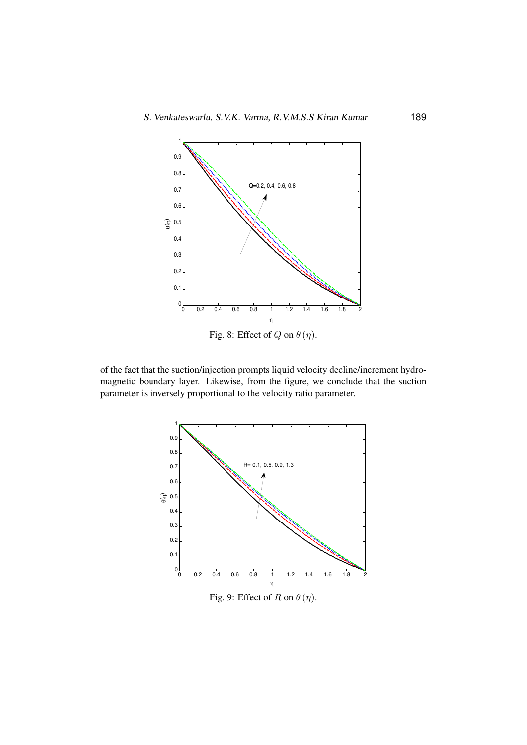<span id="page-10-0"></span>

<span id="page-10-1"></span>parameter is inversely proportional to the velocity ratio parameter. magnetic boundary layer. Likewise, from the figure, we conclude that the suction of the fact that the suction/injection prompts liquid velocity decline/increment hydro-



Fig. 9: Effect of  $R$  on  $\theta(\eta)$ .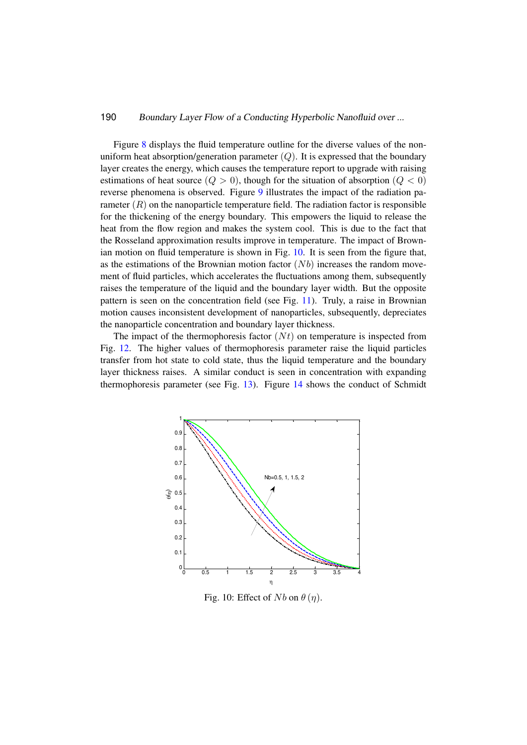Figure [8](#page-10-0) displays the fluid temperature outline for the diverse values of the nonuniform heat absorption/generation parameter  $(Q)$ . It is expressed that the boundary layer creates the energy, which causes the temperature report to upgrade with raising estimations of heat source  $(Q > 0)$ , though for the situation of absorption  $(Q < 0)$ reverse phenomena is observed. Figure [9](#page-10-1) illustrates the impact of the radiation parameter  $(R)$  on the nanoparticle temperature field. The radiation factor is responsible for the thickening of the energy boundary. This empowers the liquid to release the heat from the flow region and makes the system cool. This is due to the fact that the Rosseland approximation results improve in temperature. The impact of Brown-ian motion on fluid temperature is shown in Fig. [10.](#page-11-0) It is seen from the figure that, as the estimations of the Brownian motion factor  $(Nb)$  increases the random move- $\frac{m}{\sqrt{1-\epsilon}}$  and  $\frac{m}{\sqrt{1-\epsilon}}$  and  $\frac{m}{\sqrt{1-\epsilon}}$  are  $\frac{m}{\sqrt{1-\epsilon}}$  and  $\frac{m}{\sqrt{1-\epsilon}}$  and  $\frac{m}{\sqrt{1-\epsilon}}$  are  $\frac{m}{\sqrt{1-\epsilon}}$  and  $\frac{m}{\sqrt{1-\epsilon}}$  and  $\frac{m}{\sqrt{1-\epsilon}}$  are  $\frac{m}{\sqrt{1-\epsilon}}$  and  $\frac{m}{\sqrt{1-\epsilon}}$  are  $\frac{m}{\sqrt{1-\epsilon$ raises the temperature of the liquid and the boundary layer width. But the opposite pattern is seen on the concentration field (see Fig. [11\)](#page-12-0). Truly, a raise in Brownian motion causes inconsistent development of nanoparticles, subsequently, depreciates the nanoparticle concentration and boundary layer thickness.  $\ddot{\phantom{2}}$ 

The impact of the thermophoresis factor  $(Nt)$  on temperature is inspected from Fig. [12.](#page-12-1) The higher values of thermophoresis parameter raise the liquid particles transfer from hot state to cold state, thus the liquid temperature and the boundary layer thickness raises. A similar conduct is seen in concentration with expanding h rayer unckness raises. A similar conduct is seen in concentration with expanding<br>thermophoresis parameter (see Fig. [13\)](#page-13-0). Figure [14](#page-13-1) shows the conduct of Schmidt  $\text{cles}$ 

<span id="page-11-0"></span>

Fig. 10: Effect of  $Nb$  on  $\theta(\eta)$ . Fig. 10. Effect of  $N\theta$  on  $\theta$  (*i*]).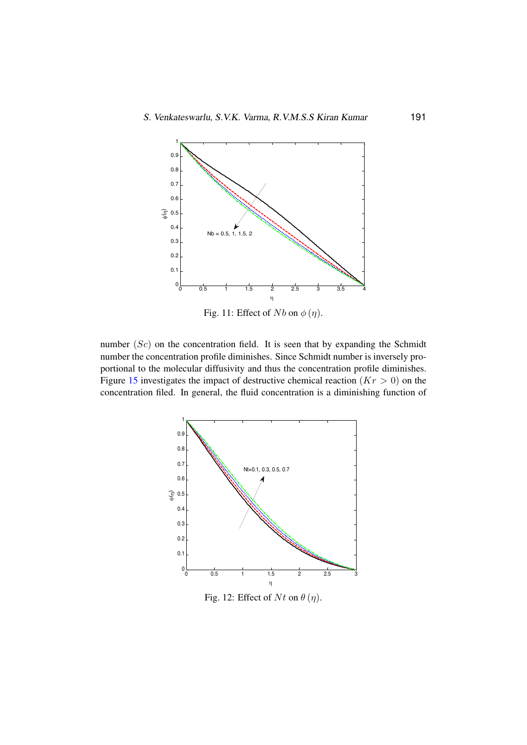<span id="page-12-0"></span>

Fig. 11: Effect of Nb on  $\phi(\eta)$ .

number  $(Sc)$  on the concentration field. It is seen that by expanding the Schmidt number the concentration profile diminishes. Since Schmidt number is inversely proportional to the molecular diffusivity and thus the concentration profile diminishes. Figure [15](#page-14-0) investigates the impact of destructive chemical reaction ( $Kr > 0$ ) on the concentration filed. In general, the fluid concentration is a diminishing function of

<span id="page-12-1"></span>

Fig. 12: Effect of  $Nt$  on  $\theta(\eta)$ .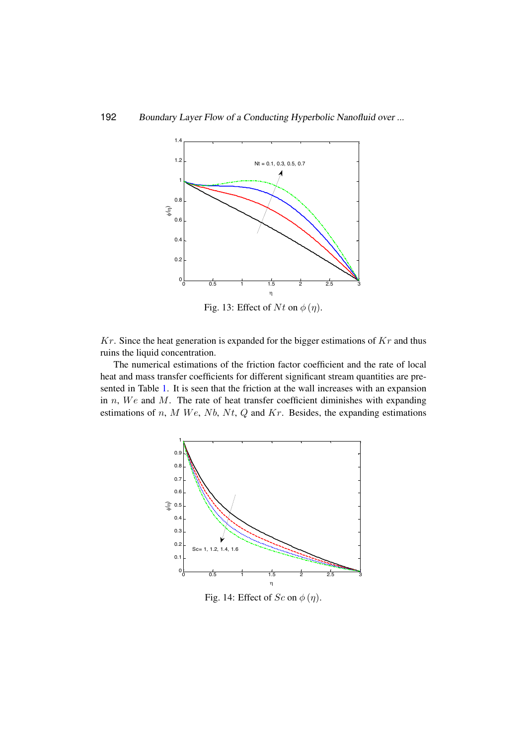<span id="page-13-0"></span>

Fig. 13: Effect of  $Nt$  on  $\phi(\eta)$ .

ruins the liquid concentration.  $Kr$ . Since the heat generation is expanded for the bigger estimations of  $Kr$  and thus

<span id="page-13-1"></span>estimations of *n*, *M We*, *Nb*, *Nt*, *Q* and *Kr*. Besides, the expanding estimations in  $n$ , We and M. The rate of heat transfer coefficient diminishes with expanding  $\overline{\phantom{a}}$ The numerical estimations of the friction factor coefficient and the rate of local sented in Table [1.](#page-6-0) It is seen that the friction at the wall increases with an expansion heat and mass transfer coefficients for different significant stream quantities are pre- $\sin$ 



Fig. 14: Effect of  $Sc$  on  $\phi(\eta)$ .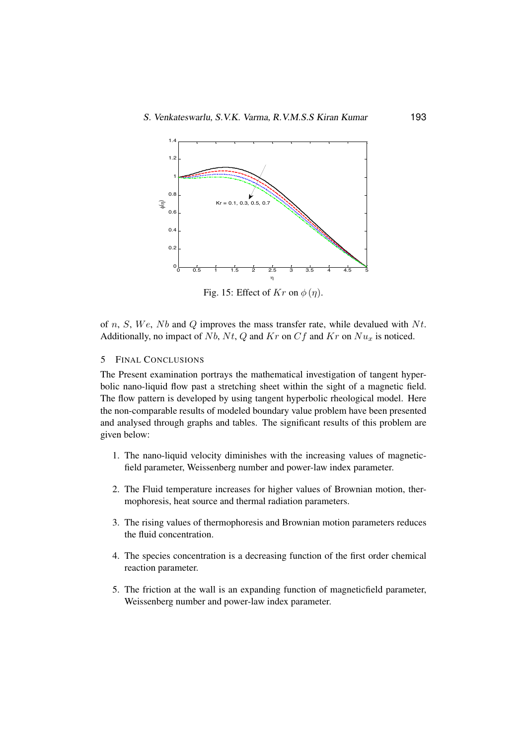<span id="page-14-0"></span>

Fig. 15: Effect of  $Kr$  on  $\phi(\eta)$ .

of n, S, We, Nb and Q improves the mass transfer rate, while devalued with  $N_t$ . Additionally, no impact of Nb, Nt, Q and Kr on  $Cf$  and Kr on  $Nu_x$  is noticed.

#### $\mathfrak{S}$ 5 FINAL CONCLUSIONS

The Present examination portrays the mathematical investigation of tangent hyperbolic nano-liquid flow past a stretching sheet within the sight of a magnetic field. The flow pattern is developed by using tangent hyperbolic rheological model. Here the non-comparable results of modeled boundary value problem have been presented and analysed through graphs and tables. The significant results of this problem are  $\mu$ 100 -10088 -10.0503 -10.0503 -10.0503 -10.0503 -10.0503 -10.0503 -10.0503 -10.0503 -10.0503 -10.0503 -10.0503 -10.0503 -10.0503 -10.0503 -10.0503 -10.0503 -10.0503 -10.0503 -10.0503 -10.0503 -10.0503 -10.0503 -10.0503 given below:

- 1. The nano-liquid velocity diminishes with the increasing values of magneticfield parameter, Weissenberg number and power-law index parameter.
	- 2. The Fluid temperature increases for higher values of Brownian motion, thermophoresis, heat source and thermal radiation parameters.
	- 3. The rising values of thermophoresis and Brownian motion parameters reduces the fluid concentration.
	- 4. The species concentration is a decreasing function of the first order chemical reaction parameter.
	- 5. The friction at the wall is an expanding function of magneticfield parameter, Weissenberg number and power-law index parameter.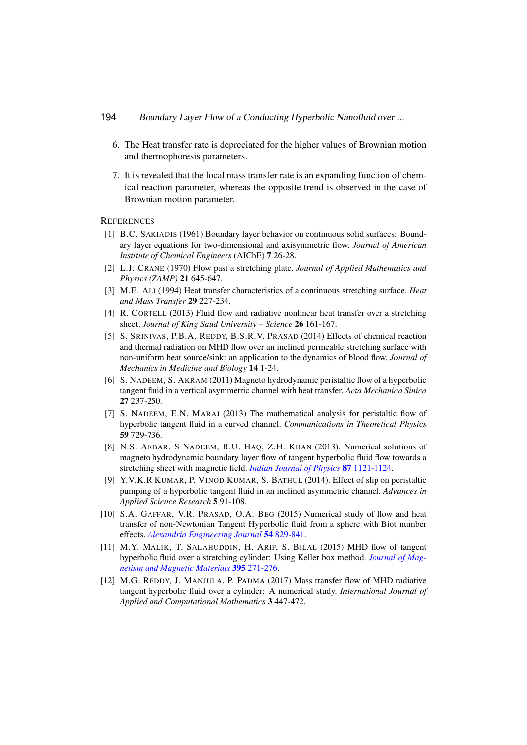- 6. The Heat transfer rate is depreciated for the higher values of Brownian motion and thermophoresis parameters.
- 7. It is revealed that the local mass transfer rate is an expanding function of chemical reaction parameter, whereas the opposite trend is observed in the case of Brownian motion parameter.

#### <span id="page-15-1"></span><span id="page-15-0"></span>**REFERENCES**

- [1] B.C. SAKIADIS (1961) Boundary layer behavior on continuous solid surfaces: Boundary layer equations for two-dimensional and axisymmetric flow. *Journal of American Institute of Chemical Engineers* (AIChE) 7 26-28.
- <span id="page-15-2"></span>[2] L.J. CRANE (1970) Flow past a stretching plate. *Journal of Applied Mathematics and Physics (ZAMP)* 21 645-647.
- <span id="page-15-3"></span>[3] M.E. ALI (1994) Heat transfer characteristics of a continuous stretching surface. *Heat and Mass Transfer* 29 227-234.
- <span id="page-15-4"></span>[4] R. CORTELL (2013) Fluid flow and radiative nonlinear heat transfer over a stretching sheet. *Journal of King Saud University – Science* 26 161-167.
- <span id="page-15-5"></span>[5] S. SRINIVAS, P.B.A. REDDY, B.S.R.V. PRASAD (2014) Effects of chemical reaction and thermal radiation on MHD flow over an inclined permeable stretching surface with non-uniform heat source/sink: an application to the dynamics of blood flow. *Journal of Mechanics in Medicine and Biology* 14 1-24.
- <span id="page-15-6"></span>[6] S. NADEEM, S. AKRAM (2011) Magneto hydrodynamic peristaltic flow of a hyperbolic tangent fluid in a vertical asymmetric channel with heat transfer. *Acta Mechanica Sinica* 27 237-250.
- <span id="page-15-7"></span>[7] S. NADEEM, E.N. MARAJ (2013) The mathematical analysis for peristaltic flow of hyperbolic tangent fluid in a curved channel. *Communications in Theoretical Physics* 59 729-736.
- <span id="page-15-8"></span>[8] N.S. AKBAR, S NADEEM, R.U. HAQ, Z.H. KHAN (2013). Numerical solutions of magneto hydrodynamic boundary layer flow of tangent hyperbolic fluid flow towards a stretching sheet with magnetic field. *[Indian Journal of Physics](https://doi.org/10.1007/s12648-013-0339-8)* 87 1121-1124.
- <span id="page-15-9"></span>[9] Y.V.K.R KUMAR, P. VINOD KUMAR, S. BATHUL (2014). Effect of slip on peristaltic pumping of a hyperbolic tangent fluid in an inclined asymmetric channel. *Advances in Applied Science Research* 5 91-108.
- <span id="page-15-10"></span>[10] S.A. GAFFAR, V.R. PRASAD, O.A. BEG (2015) Numerical study of flow and heat transfer of non-Newtonian Tangent Hyperbolic fluid from a sphere with Biot number effects. *[Alexandria Engineering Journal](http://dx.doi.org/10.1016/j.aej.2015.07.001)* 54 829-841.
- <span id="page-15-11"></span>[11] M.Y. MALIK, T. SALAHUDDIN, H. ARIF, S. BILAL (2015) MHD flow of tangent hyperbolic fluid over a stretching cylinder: Using Keller box method. *[Journal of Mag](https://doi.org/10.1016/j.jmmm.2015.07.097)[netism and Magnetic Materials](https://doi.org/10.1016/j.jmmm.2015.07.097)* 395 271-276.
- <span id="page-15-12"></span>[12] M.G. REDDY, J. MANJULA, P. PADMA (2017) Mass transfer flow of MHD radiative tangent hyperbolic fluid over a cylinder: A numerical study. *International Journal of Applied and Computational Mathematics* 3 447-472.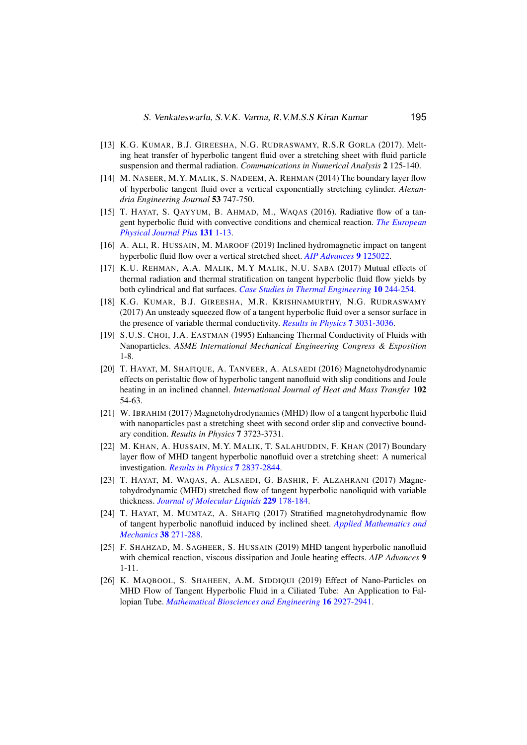- <span id="page-16-0"></span>[13] K.G. KUMAR, B.J. GIREESHA, N.G. RUDRASWAMY, R.S.R GORLA (2017). Melting heat transfer of hyperbolic tangent fluid over a stretching sheet with fluid particle suspension and thermal radiation. *Communications in Numerical Analysis* 2 125-140.
- [14] M. NASEER, M.Y. MALIK, S. NADEEM, A. REHMAN (2014) The boundary layer flow of hyperbolic tangent fluid over a vertical exponentially stretching cylinder. *Alexandria Engineering Journal* 53 747-750.
- [15] T. HAYAT, S. QAYYUM, B. AHMAD, M., WAQAS (2016). Radiative flow of a tangent hyperbolic fluid with convective conditions and chemical reaction. *[The European](https://doi.org/10.1140/epjp/i2016-16422-x) [Physical Journal Plus](https://doi.org/10.1140/epjp/i2016-16422-x)* 131 1-13.
- [16] A. ALI, R. HUSSAIN, M. MAROOF (2019) Inclined hydromagnetic impact on tangent hyperbolic fluid flow over a vertical stretched sheet. *[AIP Advances](https://doi.org/10.1063/1.5123188)* 9 125022.
- [17] K.U. REHMAN, A.A. MALIK, M.Y MALIK, N.U. SABA (2017) Mutual effects of thermal radiation and thermal stratification on tangent hyperbolic fluid flow yields by both cylindrical and flat surfaces. *[Case Studies in Thermal Engineering](https://doi.org/10.1016/j.csite.2017.07.003)* 10 244-254.
- <span id="page-16-1"></span>[18] K.G. KUMAR, B.J. GIREESHA, M.R. KRISHNAMURTHY, N.G. RUDRASWAMY (2017) An unsteady squeezed flow of a tangent hyperbolic fluid over a sensor surface in the presence of variable thermal conductivity. *[Results in Physics](https://doi.org/10.1016/j.rinp.2017.08.021)* 7 3031-3036.
- <span id="page-16-2"></span>[19] S.U.S. CHOI, J.A. EASTMAN (1995) Enhancing Thermal Conductivity of Fluids with Nanoparticles. *ASME International Mechanical Engineering Congress & Exposition* 1-8.
- <span id="page-16-3"></span>[20] T. HAYAT, M. SHAFIQUE, A. TANVEER, A. ALSAEDI (2016) Magnetohydrodynamic effects on peristaltic flow of hyperbolic tangent nanofluid with slip conditions and Joule heating in an inclined channel. *International Journal of Heat and Mass Transfer* 102 54-63.
- <span id="page-16-4"></span>[21] W. IBRAHIM (2017) Magnetohydrodynamics (MHD) flow of a tangent hyperbolic fluid with nanoparticles past a stretching sheet with second order slip and convective boundary condition. *Results in Physics* 7 3723-3731.
- <span id="page-16-5"></span>[22] M. KHAN, A. HUSSAIN, M.Y. MALIK, T. SALAHUDDIN, F. KHAN (2017) Boundary layer flow of MHD tangent hyperbolic nanofluid over a stretching sheet: A numerical investigation. *[Results in Physics](https://doi.org/10.1016/j.rinp.2017.07.061)* 7 2837-2844.
- <span id="page-16-6"></span>[23] T. HAYAT, M. WAQAS, A. ALSAEDI, G. BASHIR, F. ALZAHRANI (2017) Magnetohydrodynamic (MHD) stretched flow of tangent hyperbolic nanoliquid with variable thickness. *[Journal of Molecular Liquids](https://doi.org/10.1016/j.molliq.2016.12.058)* 229 178-184.
- <span id="page-16-7"></span>[24] T. HAYAT, M. MUMTAZ, A. SHAFIQ (2017) Stratified magnetohydrodynamic flow of tangent hyperbolic nanofluid induced by inclined sheet. *[Applied Mathematics and](https://doi.org/10.1007/s10483-017-2168-9) [Mechanics](https://doi.org/10.1007/s10483-017-2168-9)* 38 271-288.
- <span id="page-16-8"></span>[25] F. SHAHZAD, M. SAGHEER, S. HUSSAIN (2019) MHD tangent hyperbolic nanofluid with chemical reaction, viscous dissipation and Joule heating effects. *AIP Advances* 9 1-11.
- <span id="page-16-9"></span>[26] K. MAQBOOL, S. SHAHEEN, A.M. SIDDIQUI (2019) Effect of Nano-Particles on MHD Flow of Tangent Hyperbolic Fluid in a Ciliated Tube: An Application to Fallopian Tube. *[Mathematical Biosciences and Engineering](https://doi.org/10.3934/mbe.2019144)* 16 2927-2941.